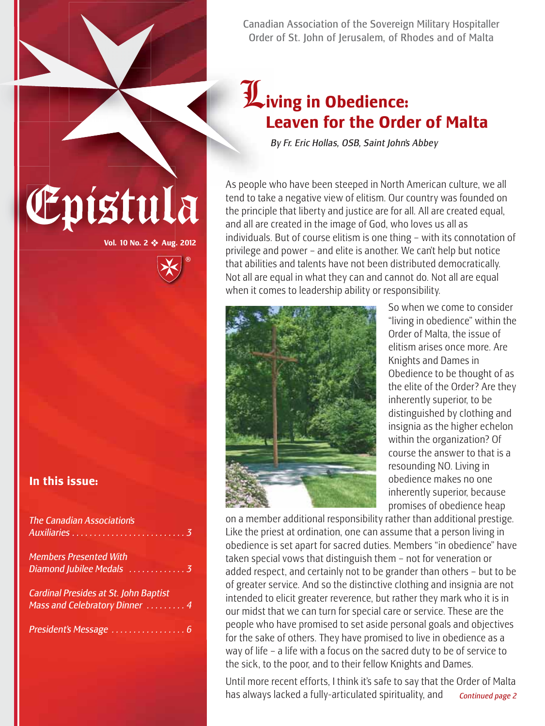Canadian Association of the Sovereign Military Hospitaller Order of St. John of Jerusalem, of Rhodes and of Malta

# L**iving in Obedience: Leaven for the Order of Malta**

*By Fr. Eric Hollas, OSB, Saint John's Abbey*

As people who have been steeped in North American culture, we all<br>tend to take a negative view of elitism. Our country was founded on<br>the principle that liberty and justice are for all. All are created equal, tend to take a negative view of elitism. Our country was founded on the principle that liberty and justice are for all. All are created equal, and all are created in the image of God, who loves us all as individuals. But of course elitism is one thing – with its connotation of privilege and power – and elite is another. We can't help but notice that abilities and talents have not been distributed democratically. Not all are equal in what they can and cannot do. Not all are equal when it comes to leadership ability or responsibility.



So when we come to consider "living in obedience" within the Order of Malta, the issue of elitism arises once more. Are Knights and Dames in Obedience to be thought of as the elite of the Order? Are they inherently superior, to be distinguished by clothing and insignia as the higher echelon within the organization? Of course the answer to that is a resounding NO. Living in obedience makes no one inherently superior, because promises of obedience heap

on a member additional responsibility rather than additional prestige. Like the priest at ordination, one can assume that a person living in obedience is set apart for sacred duties. Members "in obedience" have taken special vows that distinguish them – not for veneration or added respect, and certainly not to be grander than others – but to be of greater service. And so the distinctive clothing and insignia are not intended to elicit greater reverence, but rather they mark who it is in our midst that we can turn for special care or service. These are the people who have promised to set aside personal goals and objectives for the sake of others. They have promised to live in obedience as a way of life – a life with a focus on the sacred duty to be of service to the sick, to the poor, and to their fellow Knights and Dames.

Until more recent efforts, I think it's safe to say that the Order of Malta has always lacked a fully-articulated spirituality, and *Continued page 2*

**In this issue:**

**Vol. 10 No. 2** ❖ **Aug. 2012**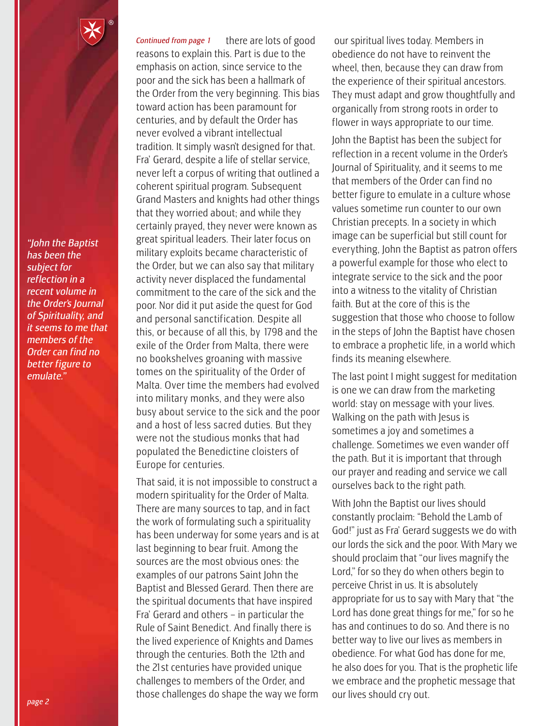*"John the Baptist has been the subject for reflection in a recent volume in the Order's Journal of Spirituality, and it seems to me that members of the Order can find no better figure to emulate."*

there are lots of good reasons to explain this. Part is due to the emphasis on action, since service to the poor and the sick has been a hallmark of the Order from the very beginning. This bias toward action has been paramount for centuries, and by default the Order has never evolved a vibrant intellectual tradition. It simply wasn't designed for that. Fra' Gerard, despite a life of stellar service, never left a corpus of writing that outlined a coherent spiritual program. Subsequent Grand Masters and knights had other things that they worried about; and while they certainly prayed, they never were known as great spiritual leaders. Their later focus on military exploits became characteristic of the Order, but we can also say that military activity never displaced the fundamental commitment to the care of the sick and the poor. Nor did it put aside the quest for God and personal sanctification. Despite all this, or because of all this, by 1798 and the exile of the Order from Malta, there were no bookshelves groaning with massive tomes on the spirituality of the Order of Malta. Over time the members had evolved into military monks, and they were also busy about service to the sick and the poor and a host of less sacred duties. But they were not the studious monks that had populated the Benedictine cloisters of Europe for centuries. *Continued from page 1*

That said, it is not impossible to construct a modern spirituality for the Order of Malta. There are many sources to tap, and in fact the work of formulating such a spirituality has been underway for some years and is at last beginning to bear fruit. Among the sources are the most obvious ones: the examples of our patrons Saint John the Baptist and Blessed Gerard. Then there are the spiritual documents that have inspired Fra' Gerard and others – in particular the Rule of Saint Benedict. And finally there is the lived experience of Knights and Dames through the centuries. Both the 12th and the 21st centuries have provided unique challenges to members of the Order, and those challenges do shape the way we form

our spiritual lives today. Members in obedience do not have to reinvent the wheel, then, because they can draw from the experience of their spiritual ancestors. They must adapt and grow thoughtfully and organically from strong roots in order to flower in ways appropriate to our time.

John the Baptist has been the subject for reflection in a recent volume in the Order's Journal of Spirituality, and it seems to me that members of the Order can find no better figure to emulate in a culture whose values sometime run counter to our own Christian precepts. In a society in which image can be superficial but still count for everything, John the Baptist as patron offers a powerful example for those who elect to integrate service to the sick and the poor into a witness to the vitality of Christian faith. But at the core of this is the suggestion that those who choose to follow in the steps of John the Baptist have chosen to embrace a prophetic life, in a world which finds its meaning elsewhere.

The last point I might suggest for meditation is one we can draw from the marketing world: stay on message with your lives. Walking on the path with Jesus is sometimes a joy and sometimes a challenge. Sometimes we even wander off the path. But it is important that through our prayer and reading and service we call ourselves back to the right path.

With John the Baptist our lives should constantly proclaim: "Behold the Lamb of God!" just as Fra' Gerard suggests we do with our lords the sick and the poor. With Mary we should proclaim that "our lives magnify the Lord," for so they do when others begin to perceive Christ in us. It is absolutely appropriate for us to say with Mary that "the Lord has done great things for me," for so he has and continues to do so. And there is no better way to live our lives as members in obedience. For what God has done for me, he also does for you. That is the prophetic life we embrace and the prophetic message that our lives should cry out.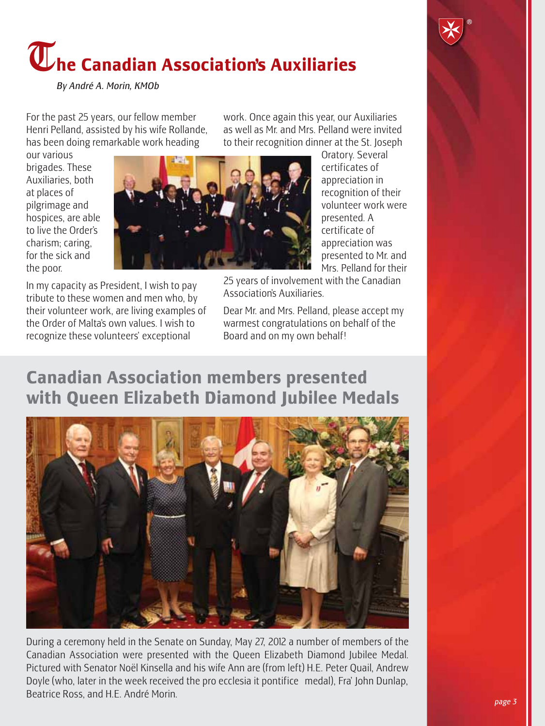# T**he Canadian Association's Auxiliaries**

*By André A. Morin, KMOb*

For the past 25 years, our fellow member Henri Pelland, assisted by his wife Rollande, has been doing remarkable work heading

our various brigades. These Auxiliaries, both at places of pilgrimage and hospices, are able to live the Order's charism; caring, for the sick and the poor.



to their recognition dinner at the St. Joseph Oratory. Several certificates of appreciation in recognition of their volunteer work were presented. A certificate of appreciation was presented to Mr. and Mrs. Pelland for their

In my capacity as President, I wish to pay tribute to these women and men who, by their volunteer work, are living examples of the Order of Malta's own values. I wish to recognize these volunteers' exceptional

Dear Mr. and Mrs. Pelland, please accept my warmest congratulations on behalf of the Board and on my own behalf!

Association's Auxiliaries.

work. Once again this year, our Auxiliaries as well as Mr. and Mrs. Pelland were invited

### **Canadian Association members presented with Queen Elizabeth Diamond Jubilee Medals**



During a ceremony held in the Senate on Sunday, May 27, 2012 a number of members of the Canadian Association were presented with the Queen Elizabeth Diamond Jubilee Medal. Pictured with Senator Noël Kinsella and his wife Ann are (from left) H.E. Peter Quail, Andrew Doyle (who, later in the week received the pro ecclesia it pontifice medal), Fra' John Dunlap, Beatrice Ross, and H.E. André Morin.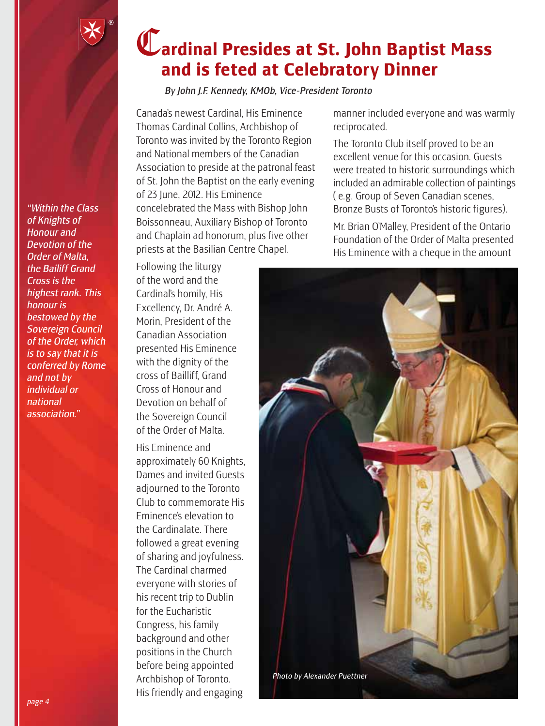## C**ardinal Presides at St. John Baptist Mass and is feted at Celebratory Dinner**

*By John J.F. Kennedy, KMOb, Vice-President Toronto*

Canada's newest Cardinal, His Eminence Thomas Cardinal Collins, Archbishop of Toronto was invited by the Toronto Region and National members of the Canadian Association to preside at the patronal feast of St. John the Baptist on the early evening of 23 June, 2012. His Eminence concelebrated the Mass with Bishop John Boissonneau, Auxiliary Bishop of Toronto and Chaplain ad honorum, plus five other priests at the Basilian Centre Chapel.

Following the liturgy of the word and the Cardinal's homily, His Excellency, Dr. André A. Morin, President of the Canadian Association presented His Eminence with the dignity of the cross of Bailliff, Grand Cross of Honour and Devotion on behalf of the Sovereign Council of the Order of Malta.

His Eminence and approximately 60 Knights, Dames and invited Guests adjourned to the Toronto Club to commemorate His Eminence's elevation to the Cardinalate. There followed a great evening of sharing and joyfulness. The Cardinal charmed everyone with stories of his recent trip to Dublin for the Eucharistic Congress, his family background and other positions in the Church before being appointed Archbishop of Toronto. His friendly and engaging

manner included everyone and was warmly reciprocated.

The Toronto Club itself proved to be an excellent venue for this occasion. Guests were treated to historic surroundings which included an admirable collection of paintings ( e.g. Group of Seven Canadian scenes, Bronze Busts of Toronto's historic figures).

Mr. Brian O'Malley, President of the Ontario Foundation of the Order of Malta presented His Eminence with a cheque in the amount



*"Within the Class of Knights of Honour and Devotion of the Order of Malta, the Bailiff Grand Cross is the highest rank. This honour is bestowed by the Sovereign Council of the Order, which is to say that it is conferred by Rome and not by individual or national association."*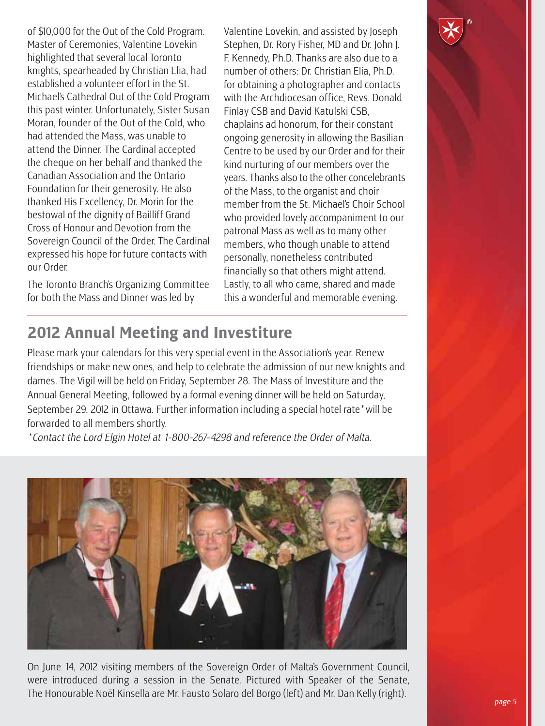of \$10,000 for the Out of the Cold Program. Master of Ceremonies, Valentine Lovekin highlighted that several local Toronto knights, spearheaded by Christian Elia, had established a volunteer effort in the St. Michael's Cathedral Out of the Cold Program this past winter. Unfortunately, Sister Susan Moran, founder of the Out of the Cold, who had attended the Mass, was unable to attend the Dinner. The Cardinal accepted the cheque on her behalf and thanked the Canadian Association and the Ontario Foundation for their generosity. He also thanked His Excellency, Dr. Morin for the bestowal of the dignity of Bailliff Grand Cross of Honour and Devotion from the Sovereign Council of the Order. The Cardinal expressed his hope for future contacts with our Order.

The Toronto Branch's Organizing Committee for both the Mass and Dinner was led by

Valentine Lovekin, and assisted by Joseph Stephen, Dr. Rory Fisher, MD and Dr. John J. F. Kennedy, Ph.D. Thanks are also due to a number of others: Dr. Christian Elia, Ph.D. for obtaining a photographer and contacts with the Archdiocesan office, Revs. Donald Finlay CSB and David Katulski CSB, chaplains ad honorum, for their constant ongoing generosity in allowing the Basilian Centre to be used by our Order and for their kind nurturing of our members over the years. Thanks also to the other concelebrants of the Mass, to the organist and choir member from the St. Michael's Choir School who provided lovely accompaniment to our patronal Mass as well as to many other members, who though unable to attend personally, nonetheless contributed financially so that others might attend. Lastly, to all who came, shared and made this a wonderful and memorable evening.

#### **2012 Annual Meeting and Investiture**

Please mark your calendars for this very special event in the Association's year. Renew friendships or make new ones, and help to celebrate the admission of our new knights and dames. The Vigil will be held on Friday, September 28. The Mass of Investiture and the Annual General Meeting, followed by a formal evening dinner will be held on Saturday, September 29, 2012 in Ottawa. Further information including a special hotel rate\*will be forwarded to all members shortly.

*\*Contact the Lord Elgin Hotel at 1-800-267-4298 and reference the Order of Malta.* 



On June 14, 2012 visiting members of the Sovereign Order of Malta's Government Council, were introduced during a session in the Senate. Pictured with Speaker of the Senate, The Honourable Noël Kinsella are Mr. Fausto Solaro del Borgo (left) and Mr. Dan Kelly (right). *page 5*